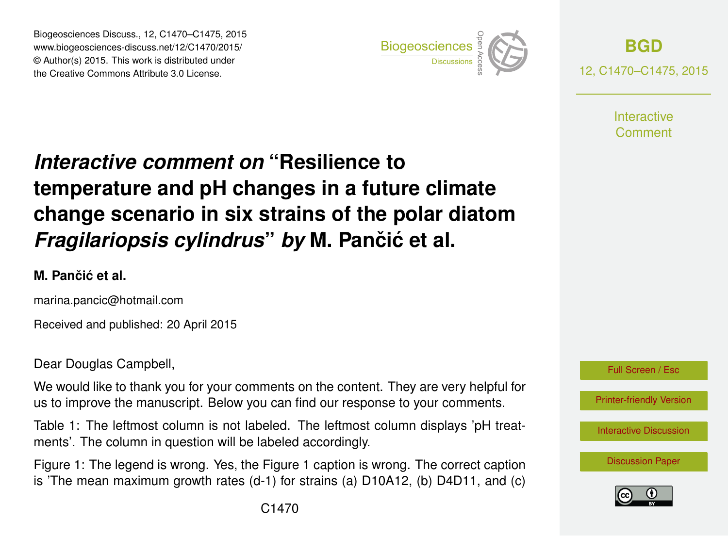Biogeosciences Discuss., 12, C1470–C1475, 2015 www.biogeosciences-discuss.net/12/C1470/2015/ © Author(s) 2015. This work is distributed under Biogeosciences Discuss., 12, C1470–C1475, 2015<br>
www.biogeosciences-discuss.net/12/C1470/2015/<br>
© Author(s) 2015. This work is distributed under<br>
the Creative Commons Attribute 3.0 License.



**[BGD](http://www.biogeosciences-discuss.net)** 12, C1470–C1475, 2015

> **Interactive** Comment

# *Interactive comment on* **"Resilience to temperature and pH changes in a future climate change scenario in six strains of the polar diatom** *Fragilariopsis cylindrus by* M. Pančić et al.

#### **M. Panciˇ c et al. ´**

marina.pancic@hotmail.com

Received and published: 20 April 2015

Dear Douglas Campbell,

We would like to thank you for your comments on the content. They are very helpful for us to improve the manuscript. Below you can find our response to your comments.

Table 1: The leftmost column is not labeled. The leftmost column displays 'pH treatments'. The column in question will be labeled accordingly.

Figure 1: The legend is wrong. Yes, the Figure 1 caption is wrong. The correct caption is 'The mean maximum growth rates (d-1) for strains (a) D10A12, (b) D4D11, and (c)



[Printer-friendly Version](http://www.biogeosciences-discuss.net/12/C1470/2015/bgd-12-C1470-2015-print.pdf)

[Interactive Discussion](http://www.biogeosciences-discuss.net/12/4627/2015/bgd-12-4627-2015-discussion.html)

[Discussion Paper](http://www.biogeosciences-discuss.net/12/4627/2015/bgd-12-4627-2015.pdf)

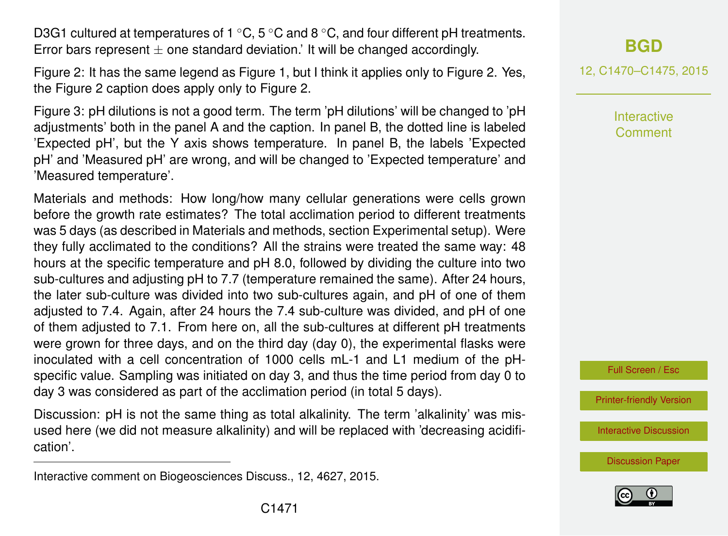D3G1 cultured at temperatures of 1  $\degree$ C, 5  $\degree$ C and 8  $\degree$ C, and four different pH treatments. Error bars represent  $\pm$  one standard deviation.' It will be changed accordingly.

Figure 2: It has the same legend as Figure 1, but I think it applies only to Figure 2. Yes, the Figure 2 caption does apply only to Figure 2.

Figure 3: pH dilutions is not a good term. The term 'pH dilutions' will be changed to 'pH adjustments' both in the panel A and the caption. In panel B, the dotted line is labeled 'Expected pH', but the Y axis shows temperature. In panel B, the labels 'Expected pH' and 'Measured pH' are wrong, and will be changed to 'Expected temperature' and 'Measured temperature'.

Materials and methods: How long/how many cellular generations were cells grown before the growth rate estimates? The total acclimation period to different treatments was 5 days (as described in Materials and methods, section Experimental setup). Were they fully acclimated to the conditions? All the strains were treated the same way: 48 hours at the specific temperature and pH 8.0, followed by dividing the culture into two sub-cultures and adjusting pH to 7.7 (temperature remained the same). After 24 hours, the later sub-culture was divided into two sub-cultures again, and pH of one of them adjusted to 7.4. Again, after 24 hours the 7.4 sub-culture was divided, and pH of one of them adjusted to 7.1. From here on, all the sub-cultures at different pH treatments were grown for three days, and on the third day (day 0), the experimental flasks were inoculated with a cell concentration of 1000 cells mL-1 and L1 medium of the pHspecific value. Sampling was initiated on day 3, and thus the time period from day 0 to day 3 was considered as part of the acclimation period (in total 5 days).

Discussion: pH is not the same thing as total alkalinity. The term 'alkalinity' was misused here (we did not measure alkalinity) and will be replaced with 'decreasing acidification'.

12, C1470–C1475, 2015

**Interactive Comment** 



[Printer-friendly Version](http://www.biogeosciences-discuss.net/12/C1470/2015/bgd-12-C1470-2015-print.pdf)

[Interactive Discussion](http://www.biogeosciences-discuss.net/12/4627/2015/bgd-12-4627-2015-discussion.html)





Interactive comment on Biogeosciences Discuss., 12, 4627, 2015.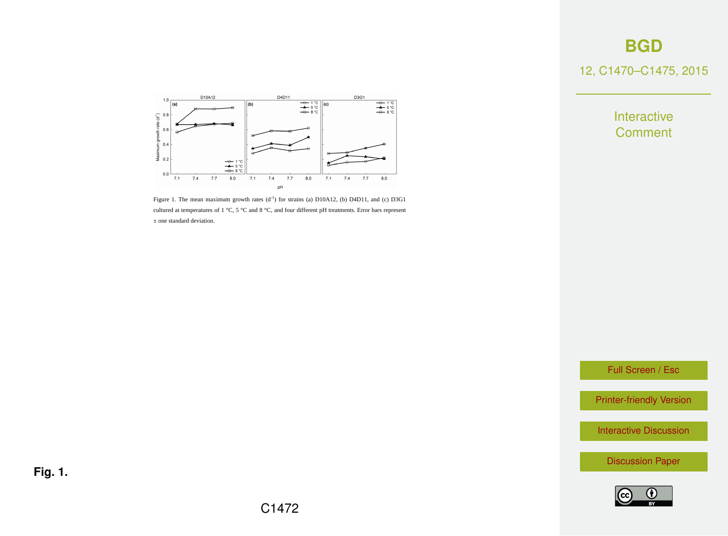12, C1470–C1475, 2015

Interactive **Comment** 



Figure 1. The mean maximum growth rates  $(d<sup>-1</sup>)$  for strains (a) D10A12, (b) D4D11, and (c) D3G1 cultured at temperatures of 1 °C, 5 °C and 8 °C, and four different pH treatments. Error bars represent ± one standard deviation.

Full Screen / Esc

[Printer-friendly Version](http://www.biogeosciences-discuss.net/12/C1470/2015/bgd-12-C1470-2015-print.pdf)

[Interactive Discussion](http://www.biogeosciences-discuss.net/12/4627/2015/bgd-12-4627-2015-discussion.html)

[Discussion Paper](http://www.biogeosciences-discuss.net/12/4627/2015/bgd-12-4627-2015.pdf)



**Fig. 1.**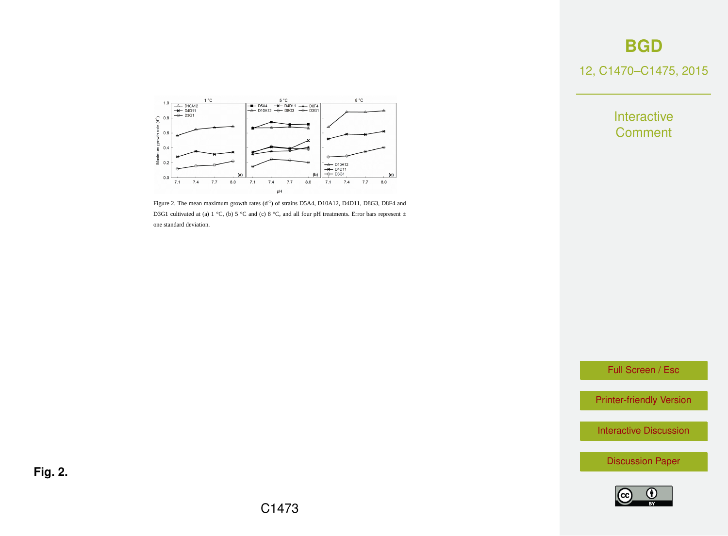12, C1470–C1475, 2015

Interactive **Comment** 



Figure 2. The mean maximum growth rates  $(d<sup>-1</sup>)$  of strains D5A4, D10A12, D4D11, D8G3, D8F4 and D3G1 cultivated at (a) 1 °C, (b) 5 °C and (c) 8 °C, and all four pH treatments. Error bars represent  $\pm$ one standard deviation.

Full Screen / Esc

[Printer-friendly Version](http://www.biogeosciences-discuss.net/12/C1470/2015/bgd-12-C1470-2015-print.pdf)

[Interactive Discussion](http://www.biogeosciences-discuss.net/12/4627/2015/bgd-12-4627-2015-discussion.html)

[Discussion Paper](http://www.biogeosciences-discuss.net/12/4627/2015/bgd-12-4627-2015.pdf)



**Fig. 2.**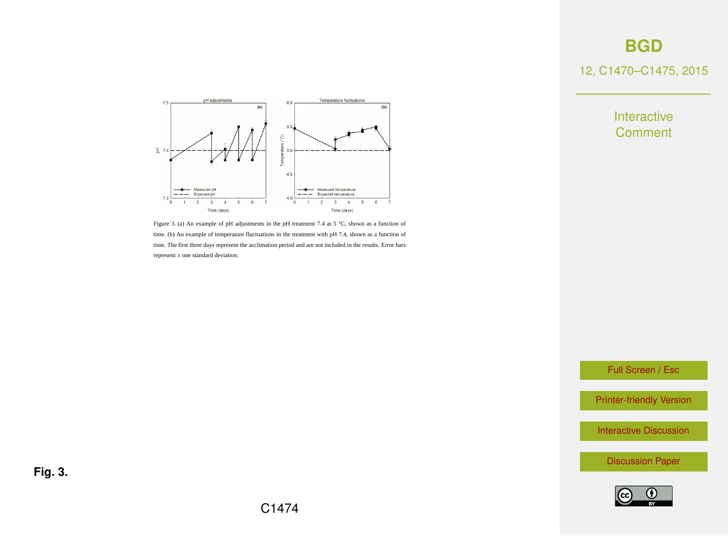#### 12, C1470–C1475, 2015



Figure 3. (a) An example of pH adjustments in the pH treatment 7.4 at 5 °C, shown as a function of time. (b) An example of temperature fluctuations in the treatment with pH 7.4, shown as a function of time. The first three days represent the acclimation period and are not included in the results. Error bars represent ± one standard deviation.

Interactive **Comment** 

Full Screen / Esc

[Printer-friendly Version](http://www.biogeosciences-discuss.net/12/C1470/2015/bgd-12-C1470-2015-print.pdf)

[Interactive Discussion](http://www.biogeosciences-discuss.net/12/4627/2015/bgd-12-4627-2015-discussion.html)

[Discussion Paper](http://www.biogeosciences-discuss.net/12/4627/2015/bgd-12-4627-2015.pdf)